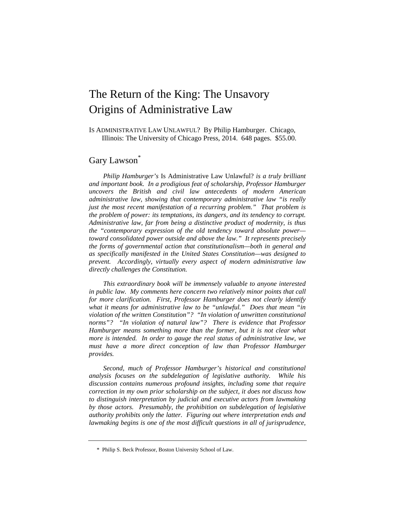# The Return of the King: The Unsavory Origins of Administrative Law

IS ADMINISTRATIVE LAW UNLAWFUL? By Philip Hamburger. Chicago, Illinois: The University of Chicago Press, 2014. 648 pages. \$55.00.

## Gary Lawson<sup>\*</sup>

*Philip Hamburger's* Is Administrative Law Unlawful? *is a truly brilliant and important book. In a prodigious feat of scholarship, Professor Hamburger uncovers the British and civil law antecedents of modern American administrative law, showing that contemporary administrative law "is really just the most recent manifestation of a recurring problem.*" That problem is *the problem of power: its temptations, its dangers, and its tendency to corrupt. Administrative law, far from being a distinctive product of modernity, is thus the "contemporary expression of the old tendency toward absolute power toward consolidated power outside and above the law." It represents precisely the forms of governmental action that constitutionalism—both in general and as specifically manifested in the United States Constitution—was designed to prevent. Accordingly, virtually every aspect of modern administrative law directly challenges the Constitution.* 

*This extraordinary book will be immensely valuable to anyone interested in public law. My comments here concern two relatively minor points that call for more clarification. First, Professor Hamburger does not clearly identify what it means for administrative law to be "unlawful." Does that mean "in violation of the written Constitution"? "In violation of unwritten constitutional norms"? "In violation of natural law"? There is evidence that Professor Hamburger means something more than the former, but it is not clear what more is intended. In order to gauge the real status of administrative law, we*  must have a more direct conception of law than Professor Hamburger *provides.* 

*Second, much of Professor Hamburger's historical and constitutional analysis focuses on the subdelegation of legislative authority. While his discussion contains numerous profound insights, including some that require correction in my own prior scholarship on the subject, it does not discuss how to distinguish interpretation by judicial and executive actors from lawmaking by those actors. Presumably, the prohibition on subdelegation of legislative authority prohibits only the latter. Figuring out where interpretation ends and lawmaking begins is one of the most difficult questions in all of jurisprudence,* 

 <sup>\*</sup> Philip S. Beck Professor, Boston University School of Law.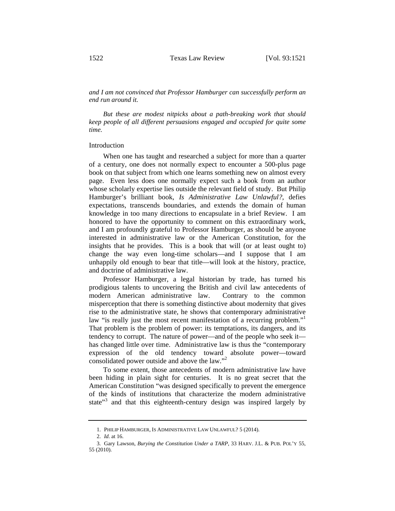*and I am not convinced that Professor Hamburger can successfully perform an end run around it.* 

*But these are modest nitpicks about a path-breaking work that should keep people of all different persuasions engaged and occupied for quite some time.*

#### Introduction

When one has taught and researched a subject for more than a quarter of a century, one does not normally expect to encounter a 500-plus page book on that subject from which one learns something new on almost every page. Even less does one normally expect such a book from an author whose scholarly expertise lies outside the relevant field of study. But Philip Hamburger's brilliant book, *Is Administrative Law Unlawful?*, defies expectations, transcends boundaries, and extends the domain of human knowledge in too many directions to encapsulate in a brief Review. I am honored to have the opportunity to comment on this extraordinary work, and I am profoundly grateful to Professor Hamburger, as should be anyone interested in administrative law or the American Constitution, for the insights that he provides. This is a book that will (or at least ought to) change the way even long-time scholars—and I suppose that I am unhappily old enough to bear that title—will look at the history, practice, and doctrine of administrative law.

Professor Hamburger, a legal historian by trade, has turned his prodigious talents to uncovering the British and civil law antecedents of modern American administrative law. Contrary to the common misperception that there is something distinctive about modernity that gives rise to the administrative state, he shows that contemporary administrative law "is really just the most recent manifestation of a recurring problem."<sup>1</sup> That problem is the problem of power: its temptations, its dangers, and its tendency to corrupt. The nature of power—and of the people who seek it has changed little over time. Administrative law is thus the "contemporary expression of the old tendency toward absolute power—toward consolidated power outside and above the law."<sup>2</sup>

To some extent, those antecedents of modern administrative law have been hiding in plain sight for centuries. It is no great secret that the American Constitution "was designed specifically to prevent the emergence of the kinds of institutions that characterize the modern administrative state"<sup>3</sup> and that this eighteenth-century design was inspired largely by

<sup>1.</sup> PHILIP HAMBURGER, IS ADMINISTRATIVE LAW UNLAWFUL? 5 (2014).

<sup>2.</sup> *Id*. at 16.

<sup>3.</sup> Gary Lawson, *Burying the Constitution Under a TARP*, 33 HARV. J.L. & PUB. POL'Y 55, 55 (2010).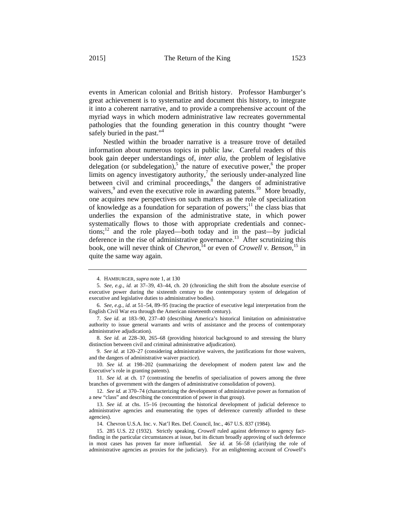events in American colonial and British history. Professor Hamburger's

great achievement is to systematize and document this history, to integrate it into a coherent narrative, and to provide a comprehensive account of the myriad ways in which modern administrative law recreates governmental pathologies that the founding generation in this country thought "were safely buried in the past."<sup>4</sup>

Nestled within the broader narrative is a treasure trove of detailed information about numerous topics in public law. Careful readers of this book gain deeper understandings of, *inter alia*, the problem of legislative delegation (or subdelegation),<sup>5</sup> the nature of executive power,<sup>6</sup> the proper limits on agency investigatory authority, $\frac{7}{1}$  the seriously under-analyzed line between civil and criminal proceedings, $8$  the dangers of administrative waivers,<sup>9</sup> and even the executive role in awarding patents.<sup>10</sup> More broadly, one acquires new perspectives on such matters as the role of specialization of knowledge as a foundation for separation of powers;<sup>11</sup> the class bias that underlies the expansion of the administrative state, in which power systematically flows to those with appropriate credentials and connections; $^{12}$  and the role played—both today and in the past—by judicial deference in the rise of administrative governance.<sup>13</sup> After scrutinizing this book, one will never think of *Chevron*, <sup>14</sup> or even of *Crowell v. Benson*, 15 in quite the same way again.

<sup>4.</sup> HAMBURGER, *supra* note 1, at 130

<sup>5.</sup> *See, e.g.*, *id.* at 37–39, 43–44, ch. 20 (chronicling the shift from the absolute exercise of executive power during the sixteenth century to the contemporary system of delegation of executive and legislative duties to administrative bodies).

<sup>6.</sup> *See, e.g.*, *id.* at 51–54, 89–95 (tracing the practice of executive legal interpretation from the English Civil War era through the American nineteenth century).

<sup>7.</sup> *See id.* at 183–90, 237–40 (describing America's historical limitation on administrative authority to issue general warrants and writs of assistance and the process of contemporary administrative adjudication).

<sup>8.</sup> *See id.* at 228–30, 265–68 (providing historical background to and stressing the blurry distinction between civil and criminal administrative adjudication).

<sup>9.</sup> *See id.* at 120–27 (considering administrative waivers, the justifications for those waivers, and the dangers of administrative waiver practice).

<sup>10.</sup> *See id.* at 198–202 (summarizing the development of modern patent law and the Executive's role in granting patents).

<sup>11.</sup> *See id.* at ch. 17 (contrasting the benefits of specialization of powers among the three branches of government with the dangers of administrative consolidation of powers).

<sup>12.</sup> *See id.* at 370–74 (characterizing the development of administrative power as formation of a new "class" and describing the concentration of power in that group).

<sup>13.</sup> *See id.* at chs. 15–16 (recounting the historical development of judicial deference to administrative agencies and enumerating the types of deference currently afforded to these agencies).

<sup>14.</sup> Chevron U.S.A. Inc. v. Nat'l Res. Def. Council, Inc., 467 U.S. 837 (1984).

<sup>15. 285</sup> U.S. 22 (1932). Strictly speaking, *Crowell* ruled against deference to agency factfinding in the particular circumstances at issue, but its dictum broadly approving of such deference in most cases has proven far more influential. *See id.* at 56–58 (clarifying the role of administrative agencies as proxies for the judiciary). For an enlightening account of *Crowell*'s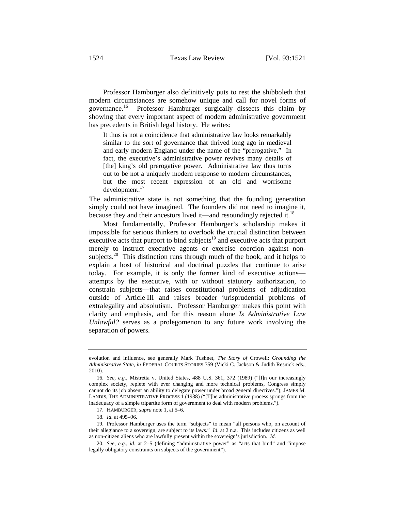Professor Hamburger also definitively puts to rest the shibboleth that modern circumstances are somehow unique and call for novel forms of governance.<sup>16</sup> Professor Hamburger surgically dissects this claim by showing that every important aspect of modern administrative government has precedents in British legal history. He writes:

It thus is not a coincidence that administrative law looks remarkably similar to the sort of governance that thrived long ago in medieval and early modern England under the name of the "prerogative." In fact, the executive's administrative power revives many details of [the] king's old prerogative power. Administrative law thus turns out to be not a uniquely modern response to modern circumstances, but the most recent expression of an old and worrisome development.<sup>17</sup>

The administrative state is not something that the founding generation simply could not have imagined. The founders did not need to imagine it, because they and their ancestors lived it—and resoundingly rejected it.<sup>18</sup>

Most fundamentally, Professor Hamburger's scholarship makes it impossible for serious thinkers to overlook the crucial distinction between executive acts that purport to bind subjects $19$  and executive acts that purport merely to instruct executive agents or exercise coercion against nonsubjects.<sup>20</sup> This distinction runs through much of the book, and it helps to explain a host of historical and doctrinal puzzles that continue to arise today. For example, it is only the former kind of executive actions attempts by the executive, with or without statutory authorization, to constrain subjects—that raises constitutional problems of adjudication outside of Article III and raises broader jurisprudential problems of extralegality and absolutism. Professor Hamburger makes this point with clarity and emphasis, and for this reason alone *Is Administrative Law Unlawful?* serves as a prolegomenon to any future work involving the separation of powers.

17. HAMBURGER, *supra* note 1, at 5–6.

18. *Id.* at 495–96.

evolution and influence, see generally Mark Tushnet, *The Story of* Crowell: *Grounding the Administrative State*, *in* FEDERAL COURTS STORIES 359 (Vicki C. Jackson & Judith Resnick eds., 2010).

<sup>16.</sup> *See, e.g.*, Mistretta v. United States, 488 U.S. 361, 372 (1989) ("[I]n our increasingly complex society, replete with ever changing and more technical problems, Congress simply cannot do its job absent an ability to delegate power under broad general directives."); JAMES M. LANDIS, THE ADMINISTRATIVE PROCESS 1 (1938) ("[T]he administrative process springs from the inadequacy of a simple tripartite form of government to deal with modern problems.").

<sup>19.</sup> Professor Hamburger uses the term "subjects" to mean "all persons who, on account of their allegiance to a sovereign, are subject to its laws." *Id.* at 2 n.a. This includes citizens as well as non-citizen aliens who are lawfully present within the sovereign's jurisdiction. *Id.*

<sup>20.</sup> *See, e.g.*, *id.* at 2–5 (defining "administrative power" as "acts that bind" and "impose legally obligatory constraints on subjects of the government").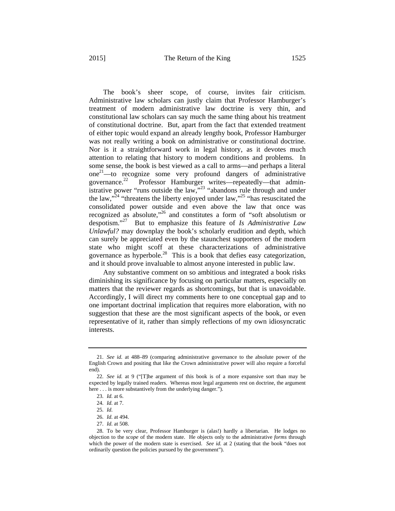The book's sheer scope, of course, invites fair criticism. Administrative law scholars can justly claim that Professor Hamburger's treatment of modern administrative law doctrine is very thin, and constitutional law scholars can say much the same thing about his treatment of constitutional doctrine. But, apart from the fact that extended treatment of either topic would expand an already lengthy book, Professor Hamburger was not really writing a book on administrative or constitutional doctrine. Nor is it a straightforward work in legal history, as it devotes much attention to relating that history to modern conditions and problems. In some sense, the book is best viewed as a call to arms—and perhaps a literal one<sup>21</sup>—to recognize some very profound dangers of administrative governance.<sup>22</sup> Professor Hamburger writes—repeatedly—that admin-Professor Hamburger writes—repeatedly—that administrative power "runs outside the law," $^{23}$  "abandons rule through and under the law,"24 "threatens the liberty enjoyed under law,"25 "has resuscitated the consolidated power outside and even above the law that once was recognized as absolute,"26 and constitutes a form of "soft absolutism or despotism."27 But to emphasize this feature of *Is Administrative Law* 

*Unlawful?* may downplay the book's scholarly erudition and depth, which can surely be appreciated even by the staunchest supporters of the modern state who might scoff at these characterizations of administrative governance as hyperbole.28 This is a book that defies easy categorization, and it should prove invaluable to almost anyone interested in public law.

Any substantive comment on so ambitious and integrated a book risks diminishing its significance by focusing on particular matters, especially on matters that the reviewer regards as shortcomings, but that is unavoidable. Accordingly, I will direct my comments here to one conceptual gap and to one important doctrinal implication that requires more elaboration, with no suggestion that these are the most significant aspects of the book, or even representative of it, rather than simply reflections of my own idiosyncratic interests.

<sup>21.</sup> *See id.* at 488–89 (comparing administrative governance to the absolute power of the English Crown and positing that like the Crown administrative power will also require a forceful end).

<sup>22.</sup> *See id.* at 9 ("[T]he argument of this book is of a more expansive sort than may be expected by legally trained readers. Whereas most legal arguments rest on doctrine, the argument here . . . is more substantively from the underlying danger.").

<sup>23.</sup> *Id.* at 6.

<sup>24.</sup> *Id.* at 7.

<sup>25.</sup> *Id.*

<sup>26.</sup> *Id.* at 494.

<sup>27.</sup> *Id.* at 508.

<sup>28.</sup> To be very clear, Professor Hamburger is (alas!) hardly a libertarian. He lodges no objection to the *scope* of the modern state. He objects only to the administrative *forms* through which the power of the modern state is exercised. *See id.* at 2 (stating that the book "does not ordinarily question the policies pursued by the government").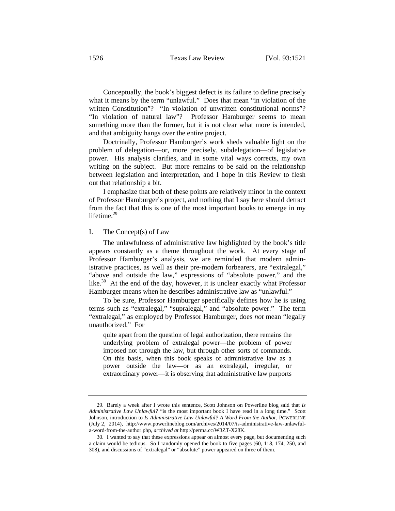Conceptually, the book's biggest defect is its failure to define precisely what it means by the term "unlawful." Does that mean "in violation of the written Constitution"? "In violation of unwritten constitutional norms"? "In violation of natural law"? Professor Hamburger seems to mean something more than the former, but it is not clear what more is intended, and that ambiguity hangs over the entire project.

Doctrinally, Professor Hamburger's work sheds valuable light on the problem of delegation—or, more precisely, subdelegation—of legislative power. His analysis clarifies, and in some vital ways corrects, my own writing on the subject. But more remains to be said on the relationship between legislation and interpretation, and I hope in this Review to flesh out that relationship a bit.

I emphasize that both of these points are relatively minor in the context of Professor Hamburger's project, and nothing that I say here should detract from the fact that this is one of the most important books to emerge in my lifetime.<sup>29</sup>

### I. The Concept(s) of Law

The unlawfulness of administrative law highlighted by the book's title appears constantly as a theme throughout the work. At every stage of Professor Hamburger's analysis, we are reminded that modern administrative practices, as well as their pre-modern forbearers, are "extralegal," "above and outside the law," expressions of "absolute power," and the like. $30$  At the end of the day, however, it is unclear exactly what Professor Hamburger means when he describes administrative law as "unlawful."

To be sure, Professor Hamburger specifically defines how he is using terms such as "extralegal," "supralegal," and "absolute power." The term "extralegal," as employed by Professor Hamburger, does *not* mean "legally unauthorized." For

quite apart from the question of legal authorization, there remains the underlying problem of extralegal power—the problem of power imposed not through the law, but through other sorts of commands. On this basis, when this book speaks of administrative law as a power outside the law—or as an extralegal, irregular, or extraordinary power—it is observing that administrative law purports

<sup>29.</sup> Barely a week after I wrote this sentence, Scott Johnson on Powerline blog said that *Is Administrative Law Unlawful?* "is the most important book I have read in a long time." Scott Johnson, introduction to *Is Administrative Law Unlawful? A Word From the Author*, POWERLINE (July 2, 2014), http://www.powerlineblog.com/archives/2014/07/is-administrative-law-unlawfula-word-from-the-author.php, *archived at* http://perma.cc/W3ZT-X28K.

<sup>30.</sup> I wanted to say that these expressions appear on almost every page, but documenting such a claim would be tedious. So I randomly opened the book to five pages (60, 118, 174, 250, and 308), and discussions of "extralegal" or "absolute" power appeared on three of them.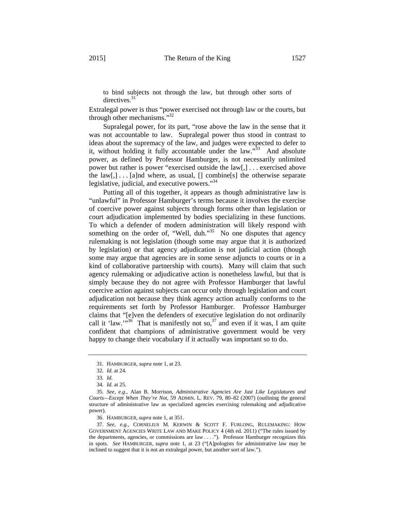to bind subjects not through the law, but through other sorts of directives.<sup>31</sup>

Extralegal power is thus "power exercised not through law or the courts, but through other mechanisms."32

Supralegal power, for its part, "rose above the law in the sense that it was not accountable to law. Supralegal power thus stood in contrast to ideas about the supremacy of the law, and judges were expected to defer to it, without holding it fully accountable under the law."<sup>33</sup> And absolute power, as defined by Professor Hamburger, is not necessarily unlimited power but rather is power "exercised outside the law[,] . . . exercised above the  $law[$ ,  $] \ldots$  [a]nd where, as usual, [] combine[s] the otherwise separate legislative, judicial, and executive powers."<sup>34</sup>

Putting all of this together, it appears as though administrative law is "unlawful" in Professor Hamburger's terms because it involves the exercise of coercive power against subjects through forms other than legislation or court adjudication implemented by bodies specializing in these functions. To which a defender of modern administration will likely respond with something on the order of, "Well, duh."<sup>35</sup> No one disputes that agency rulemaking is not legislation (though some may argue that it is authorized by legislation) or that agency adjudication is not judicial action (though some may argue that agencies are in some sense adjuncts to courts or in a kind of collaborative partnership with courts). Many will claim that such agency rulemaking or adjudicative action is nonetheless lawful, but that is simply because they do not agree with Professor Hamburger that lawful coercive action against subjects can occur only through legislation and court adjudication not because they think agency action actually conforms to the requirements set forth by Professor Hamburger. Professor Hamburger claims that "[e]ven the defenders of executive legislation do not ordinarily call it 'law.'"<sup>36</sup> That is manifestly not so,  $37$  and even if it was, I am quite confident that champions of administrative government would be very happy to change their vocabulary if it actually was important so to do.

<sup>31.</sup> HAMBURGER, *supra* note 1, at 23.

<sup>32.</sup> *Id.* at 24.

<sup>33.</sup> *Id.*

<sup>34.</sup> *Id.* at 25.

<sup>35.</sup> *See, e.g.*, Alan B. Morrison, *Administrative Agencies Are Just Like Legislatures and Courts—Except When They're Not*, 59 ADMIN. L. REV. 79, 80–82 (2007) (outlining the general structure of administrative law as specialized agencies exercising rulemaking and adjudicative power).

<sup>36.</sup> HAMBURGER, *supra* note 1, at 351.

<sup>37.</sup> *See, e.g.*, CORNELIUS M. KERWIN & SCOTT F. FURLONG, RULEMAKING: HOW GOVERNMENT AGENCIES WRITE LAW AND MAKE POLICY 4 (4th ed. 2011) ("The rules issued by the departments, agencies, or commissions are law . . . ."). Professor Hamburger recognizes this in spots. *See* HAMBURGER, *supra* note 1, at 23 ("[A]pologists for administrative law may be inclined to suggest that it is not an extralegal power, but another sort of law.").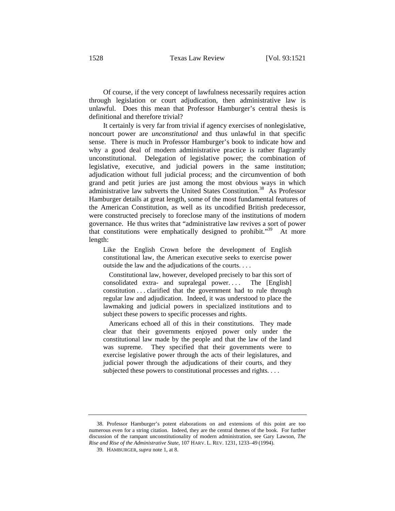Of course, if the very concept of lawfulness necessarily requires action through legislation or court adjudication, then administrative law is unlawful. Does this mean that Professor Hamburger's central thesis is definitional and therefore trivial?

It certainly is very far from trivial if agency exercises of nonlegislative, noncourt power are *unconstitutional* and thus unlawful in that specific sense. There is much in Professor Hamburger's book to indicate how and why a good deal of modern administrative practice is rather flagrantly unconstitutional. Delegation of legislative power; the combination of legislative, executive, and judicial powers in the same institution; adjudication without full judicial process; and the circumvention of both grand and petit juries are just among the most obvious ways in which administrative law subverts the United States Constitution.<sup>38</sup> As Professor Hamburger details at great length, some of the most fundamental features of the American Constitution, as well as its uncodified British predecessor, were constructed precisely to foreclose many of the institutions of modern governance. He thus writes that "administrative law revives a sort of power that constitutions were emphatically designed to prohibit."39 At more length:

Like the English Crown before the development of English constitutional law, the American executive seeks to exercise power outside the law and the adjudications of the courts. . . .

 Constitutional law, however, developed precisely to bar this sort of consolidated extra- and supralegal power. . . . The [English] constitution . . . clarified that the government had to rule through regular law and adjudication. Indeed, it was understood to place the lawmaking and judicial powers in specialized institutions and to subject these powers to specific processes and rights.

 Americans echoed all of this in their constitutions. They made clear that their governments enjoyed power only under the constitutional law made by the people and that the law of the land was supreme. They specified that their governments were to exercise legislative power through the acts of their legislatures, and judicial power through the adjudications of their courts, and they subjected these powers to constitutional processes and rights. . . .

<sup>38.</sup> Professor Hamburger's potent elaborations on and extensions of this point are too numerous even for a string citation. Indeed, they are the central themes of the book. For further discussion of the rampant unconstitutionality of modern administration, see Gary Lawson, *The Rise and Rise of the Administrative State*, 107 HARV. L. REV. 1231, 1233–49 (1994).

<sup>39.</sup> HAMBURGER, *supra* note 1, at 8.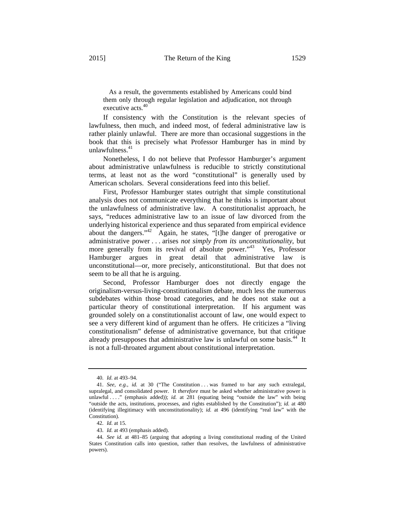As a result, the governments established by Americans could bind them only through regular legislation and adjudication, not through executive acts.<sup>40</sup>

If consistency with the Constitution is the relevant species of lawfulness, then much, and indeed most, of federal administrative law is rather plainly unlawful. There are more than occasional suggestions in the book that this is precisely what Professor Hamburger has in mind by unlawfulness.<sup>41</sup>

Nonetheless, I do not believe that Professor Hamburger's argument about administrative unlawfulness is reducible to strictly constitutional terms, at least not as the word "constitutional" is generally used by American scholars. Several considerations feed into this belief.

First, Professor Hamburger states outright that simple constitutional analysis does not communicate everything that he thinks is important about the unlawfulness of administrative law. A constitutionalist approach, he says, "reduces administrative law to an issue of law divorced from the underlying historical experience and thus separated from empirical evidence about the dangers."42 Again, he states, "[t]he danger of prerogative or administrative power . . . arises *not simply from its unconstitutionality*, but more generally from its revival of absolute power."<sup>43</sup> Yes, Professor Hamburger argues in great detail that administrative law is unconstitutional—or, more precisely, anticonstitutional. But that does not seem to be all that he is arguing.

Second, Professor Hamburger does not directly engage the originalism-versus-living-constitutionalism debate, much less the numerous subdebates within those broad categories, and he does not stake out a particular theory of constitutional interpretation. If his argument was grounded solely on a constitutionalist account of law, one would expect to see a very different kind of argument than he offers. He criticizes a "living constitutionalism" defense of administrative governance, but that critique already presupposes that administrative law is unlawful on some basis.<sup>44</sup> It is not a full-throated argument about constitutional interpretation.

<sup>40.</sup> *Id.* at 493–94.

<sup>41.</sup> *See, e.g.*, *id.* at 30 ("The Constitution . . . was framed to bar any such extralegal, supralegal, and consolidated power. It *therefore* must be asked whether administrative power is unlawful ...." (emphasis added)); *id.* at 281 (equating being "outside the law" with being "outside the acts, institutions, processes, and rights established by the Constitution"); *id.* at 480 (identifying illegitimacy with unconstitutionality); *id.* at 496 (identifying "real law" with the Constitution).

<sup>42.</sup> *Id.* at 15.

<sup>43.</sup> *Id.* at 493 (emphasis added).

<sup>44.</sup> *See id.* at 481–85 (arguing that adopting a living constitutional reading of the United States Constitution calls into question, rather than resolves, the lawfulness of administrative powers).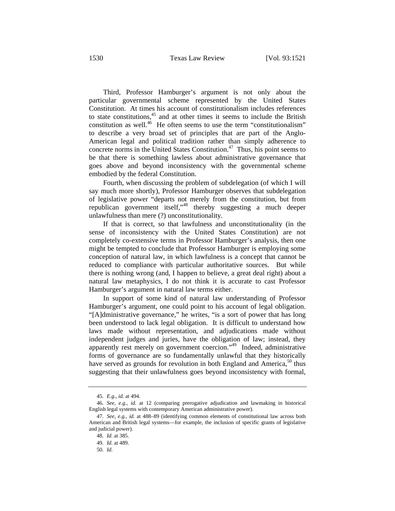Third, Professor Hamburger's argument is not only about the particular governmental scheme represented by the United States Constitution. At times his account of constitutionalism includes references to state constitutions, $45$  and at other times it seems to include the British constitution as well.<sup>46</sup> He often seems to use the term "constitutionalism" to describe a very broad set of principles that are part of the Anglo-American legal and political tradition rather than simply adherence to concrete norms in the United States Constitution.<sup>47</sup> Thus, his point seems to be that there is something lawless about administrative governance that goes above and beyond inconsistency with the governmental scheme embodied by the federal Constitution.

Fourth, when discussing the problem of subdelegation (of which I will say much more shortly), Professor Hamburger observes that subdelegation of legislative power "departs not merely from the constitution, but from republican government itself,"48 thereby suggesting a much deeper unlawfulness than mere (?) unconstitutionality.

If that is correct, so that lawfulness and unconstitutionality (in the sense of inconsistency with the United States Constitution) are not completely co-extensive terms in Professor Hamburger's analysis, then one might be tempted to conclude that Professor Hamburger is employing some conception of natural law, in which lawfulness is a concept that cannot be reduced to compliance with particular authoritative sources. But while there is nothing wrong (and, I happen to believe, a great deal right) about a natural law metaphysics, I do not think it is accurate to cast Professor Hamburger's argument in natural law terms either.

In support of some kind of natural law understanding of Professor Hamburger's argument, one could point to his account of legal obligation. "[A]dministrative governance," he writes, "is a sort of power that has long been understood to lack legal obligation. It is difficult to understand how laws made without representation, and adjudications made without independent judges and juries, have the obligation of law; instead, they apparently rest merely on government coercion."49 Indeed, administrative forms of governance are so fundamentally unlawful that they historically have served as grounds for revolution in both England and America,<sup>50</sup> thus suggesting that their unlawfulness goes beyond inconsistency with formal,

<sup>45.</sup> *E.g.*, *id.* at 494.

<sup>46.</sup> *See, e.g.*, *id.* at 12 (comparing prerogative adjudication and lawmaking in historical English legal systems with contemporary American administrative power).

<sup>47.</sup> *See, e.g.*, *id.* at 488–89 (identifying common elements of constitutional law across both American and British legal systems—for example, the inclusion of specific grants of legislative and judicial power).

<sup>48.</sup> *Id.* at 385.

<sup>49.</sup> *Id.* at 489.

<sup>50.</sup> *Id.*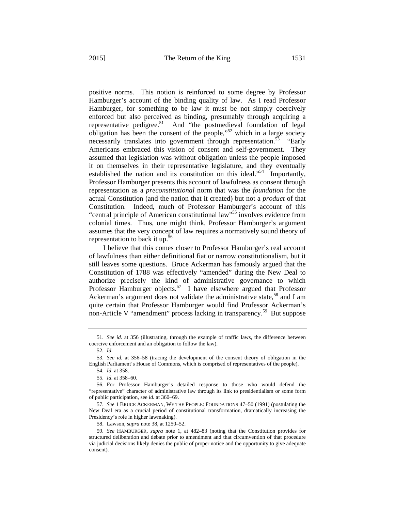positive norms. This notion is reinforced to some degree by Professor Hamburger's account of the binding quality of law. As I read Professor Hamburger, for something to be law it must be not simply coercively enforced but also perceived as binding, presumably through acquiring a representative pedigree.51 And "the postmedieval foundation of legal

obligation has been the consent of the people," $52$  which in a large society necessarily translates into government through representation.<sup>53</sup> "Early" Americans embraced this vision of consent and self-government. They assumed that legislation was without obligation unless the people imposed it on themselves in their representative legislature, and they eventually established the nation and its constitution on this ideal."<sup>54</sup> Importantly, Professor Hamburger presents this account of lawfulness as consent through representation as a *preconstitutional* norm that was the *foundation* for the actual Constitution (and the nation that it created) but not a *product* of that Constitution. Indeed, much of Professor Hamburger's account of this "central principle of American constitutional law"55 involves evidence from colonial times. Thus, one might think, Professor Hamburger's argument assumes that the very concept of law requires a normatively sound theory of representation to back it up.<sup>56</sup>

I believe that this comes closer to Professor Hamburger's real account of lawfulness than either definitional fiat or narrow constitutionalism, but it still leaves some questions. Bruce Ackerman has famously argued that the Constitution of 1788 was effectively "amended" during the New Deal to authorize precisely the kind of administrative governance to which Professor Hamburger objects.<sup>57</sup> I have elsewhere argued that Professor Ackerman's argument does not validate the administrative state,<sup>58</sup> and I am quite certain that Professor Hamburger would find Professor Ackerman's non-Article V "amendment" process lacking in transparency.<sup>59</sup> But suppose

<sup>51.</sup> *See id.* at 356 (illustrating, through the example of traffic laws, the difference between coercive enforcement and an obligation to follow the law).

<sup>52.</sup> *Id.*

<sup>53.</sup> *See id.* at 356–58 (tracing the development of the consent theory of obligation in the English Parliament's House of Commons, which is comprised of representatives of the people).

<sup>54.</sup> *Id.* at 358.

<sup>55.</sup> *Id.* at 358–60.

<sup>56.</sup> For Professor Hamburger's detailed response to those who would defend the "representative" character of administrative law through its link to presidentialism or some form of public participation, see *id.* at 360–69.

<sup>57.</sup> *See* 1 BRUCE ACKERMAN, WE THE PEOPLE: FOUNDATIONS 47–50 (1991) (postulating the New Deal era as a crucial period of constitutional transformation, dramatically increasing the Presidency's role in higher lawmaking).

<sup>58.</sup> Lawson, *supra* note 38, at 1250–52.

<sup>59.</sup> *See* HAMBURGER, *supra* note 1, at 482–83 (noting that the Constitution provides for structured deliberation and debate prior to amendment and that circumvention of that procedure via judicial decisions likely denies the public of proper notice and the opportunity to give adequate consent).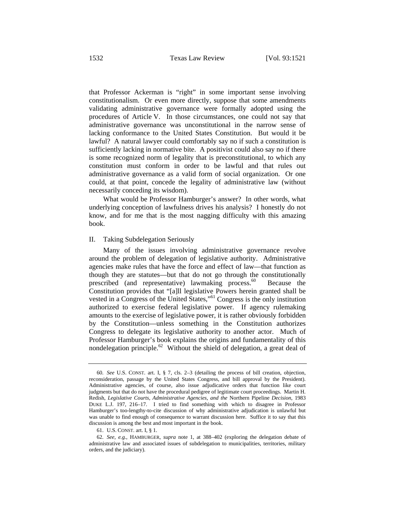that Professor Ackerman is "right" in some important sense involving constitutionalism. Or even more directly, suppose that some amendments validating administrative governance were formally adopted using the procedures of Article V. In those circumstances, one could not say that administrative governance was unconstitutional in the narrow sense of lacking conformance to the United States Constitution. But would it be lawful? A natural lawyer could comfortably say no if such a constitution is sufficiently lacking in normative bite. A positivist could also say no if there is some recognized norm of legality that is preconstitutional, to which any constitution must conform in order to be lawful and that rules out administrative governance as a valid form of social organization. Or one could, at that point, concede the legality of administrative law (without necessarily conceding its wisdom).

What would be Professor Hamburger's answer? In other words, what underlying conception of lawfulness drives his analysis? I honestly do not know, and for me that is the most nagging difficulty with this amazing book.

### II. Taking Subdelegation Seriously

Many of the issues involving administrative governance revolve around the problem of delegation of legislative authority. Administrative agencies make rules that have the force and effect of law—that function as though they are statutes—but that do not go through the constitutionally prescribed (and representative) lawmaking process. $60$  Because the Constitution provides that "[a]ll legislative Powers herein granted shall be vested in a Congress of the United States,"61 Congress is the only institution authorized to exercise federal legislative power. If agency rulemaking amounts to the exercise of legislative power, it is rather obviously forbidden by the Constitution—unless something in the Constitution authorizes Congress to delegate its legislative authority to another actor. Much of Professor Hamburger's book explains the origins and fundamentality of this nondelegation principle.<sup>62</sup> Without the shield of delegation, a great deal of

<sup>60.</sup> *See* U.S. CONST. art. I, § 7, cls. 2–3 (detailing the process of bill creation, objection, reconsideration, passage by the United States Congress, and bill approval by the President). Administrative agencies, of course, also issue adjudicative orders that function like court judgments but that do not have the procedural pedigree of legitimate court proceedings. Martin H. Redish, *Legislative Courts, Administrative Agencies, and the* Northern Pipeline *Decision*, 1983 DUKE L.J. 197, 216–17. I tried to find something with which to disagree in Professor Hamburger's too-lengthy-to-cite discussion of why administrative adjudication is unlawful but was unable to find enough of consequence to warrant discussion here. Suffice it to say that this discussion is among the best and most important in the book.

<sup>61.</sup> U.S. CONST. art. I, § 1.

<sup>62.</sup> *See, e.g.*, HAMBURGER, *supra* note 1, at 388–402 (exploring the delegation debate of administrative law and associated issues of subdelegation to municipalities, territories, military orders, and the judiciary).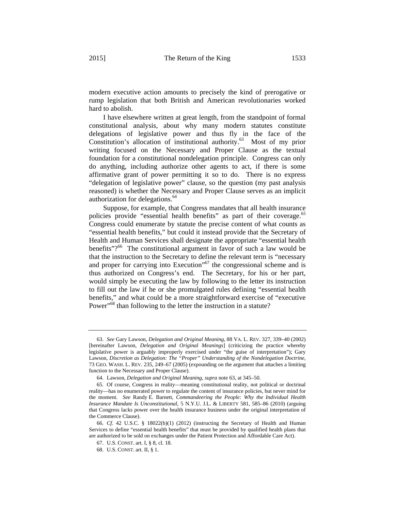modern executive action amounts to precisely the kind of prerogative or rump legislation that both British and American revolutionaries worked hard to abolish.

I have elsewhere written at great length, from the standpoint of formal constitutional analysis, about why many modern statutes constitute delegations of legislative power and thus fly in the face of the Constitution's allocation of institutional authority.63 Most of my prior writing focused on the Necessary and Proper Clause as the textual foundation for a constitutional nondelegation principle. Congress can only do anything, including authorize other agents to act, if there is some affirmative grant of power permitting it so to do. There is no express "delegation of legislative power" clause, so the question (my past analysis reasoned) is whether the Necessary and Proper Clause serves as an implicit authorization for delegations.<sup>64</sup>

Suppose, for example, that Congress mandates that all health insurance policies provide "essential health benefits" as part of their coverage.<sup>65</sup> Congress could enumerate by statute the precise content of what counts as "essential health benefits," but could it instead provide that the Secretary of Health and Human Services shall designate the appropriate "essential health benefits"?<sup>66</sup> The constitutional argument in favor of such a law would be that the instruction to the Secretary to define the relevant term is "necessary and proper for carrying into Execution<sup>"67</sup> the congressional scheme and is thus authorized on Congress's end. The Secretary, for his or her part, would simply be executing the law by following to the letter its instruction to fill out the law if he or she promulgated rules defining "essential health benefits," and what could be a more straightforward exercise of "executive Power"<sup>68</sup> than following to the letter the instruction in a statute?

<sup>63.</sup> *See* Gary Lawson, *Delegation and Original Meaning*, 88 VA. L. REV. 327, 339–40 (2002) [hereinafter Lawson, *Delegation and Original Meanings*] (criticizing the practice whereby legislative power is arguably improperly exercised under "the guise of interpretation"); Gary Lawson, *Discretion as Delegation: The "Proper" Understanding of the Nondelegation Doctrine*, 73 GEO. WASH. L. REV. 235, 249–67 (2005) (expounding on the argument that attaches a limiting function to the Necessary and Proper Clause).

<sup>64.</sup> Lawson, *Delegation and Original Meaning*, *supra* note 63, at 345–50.

<sup>65.</sup> Of course, Congress in reality—meaning constitutional reality, not political or doctrinal reality—has no enumerated power to regulate the content of insurance policies, but never mind for the moment. *See* Randy E. Barnett, *Commandeering the People: Why the Individual Health Insurance Mandate Is Unconstitutional*, 5 N.Y.U. J.L. & LIBERTY 581, 585–86 (2010) (arguing that Congress lacks power over the health insurance business under the original interpretation of the Commerce Clause).

<sup>66.</sup> *Cf.* 42 U.S.C. § 18022(b)(1) (2012) (instructing the Secretary of Health and Human Services to define "essential health benefits" that must be provided by qualified health plans that are authorized to be sold on exchanges under the Patient Protection and Affordable Care Act).

<sup>67.</sup> U.S. CONST. art. I, § 8, cl. 18.

<sup>68.</sup> U.S. CONST. art. II, § 1.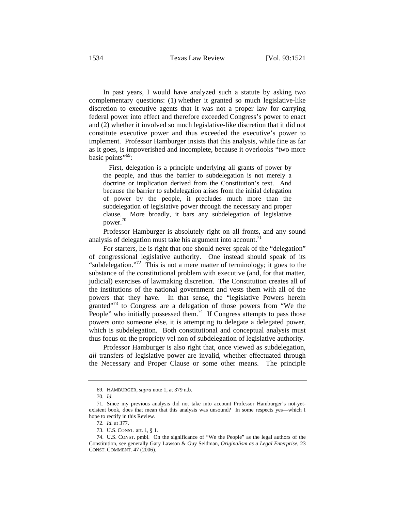In past years, I would have analyzed such a statute by asking two complementary questions: (1) whether it granted so much legislative-like discretion to executive agents that it was not a proper law for carrying federal power into effect and therefore exceeded Congress's power to enact and (2) whether it involved so much legislative-like discretion that it did not constitute executive power and thus exceeded the executive's power to implement. Professor Hamburger insists that this analysis, while fine as far as it goes, is impoverished and incomplete, because it overlooks "two more basic points"<sup>69</sup>:

 First, delegation is a principle underlying all grants of power by the people, and thus the barrier to subdelegation is not merely a doctrine or implication derived from the Constitution's text. And because the barrier to subdelegation arises from the initial delegation of power by the people, it precludes much more than the subdelegation of legislative power through the necessary and proper clause. More broadly, it bars any subdelegation of legislative power. 70

Professor Hamburger is absolutely right on all fronts, and any sound analysis of delegation must take his argument into account.<sup>71</sup>

For starters, he is right that one should never speak of the "delegation" of congressional legislative authority. One instead should speak of its "subdelegation."<sup>72</sup> This is not a mere matter of terminology; it goes to the substance of the constitutional problem with executive (and, for that matter, judicial) exercises of lawmaking discretion. The Constitution creates all of the institutions of the national government and vests them with all of the powers that they have. In that sense, the "legislative Powers herein granted $173$  to Congress are a delegation of those powers from "We the People" who initially possessed them.<sup>74</sup> If Congress attempts to pass those powers onto someone else, it is attempting to delegate a delegated power, which is subdelegation. Both constitutional and conceptual analysis must thus focus on the propriety vel non of subdelegation of legislative authority.

Professor Hamburger is also right that, once viewed as subdelegation, *all* transfers of legislative power are invalid, whether effectuated through the Necessary and Proper Clause or some other means. The principle

<sup>69.</sup> HAMBURGER, *supra* note 1, at 379 n.b.

<sup>70.</sup> *Id.*

<sup>71.</sup> Since my previous analysis did not take into account Professor Hamburger's not-yetexistent book, does that mean that this analysis was unsound? In some respects yes—which I hope to rectify in this Review.

<sup>72.</sup> *Id.* at 377.

<sup>73.</sup> U.S. CONST. art. 1, § 1.

<sup>74.</sup> U.S. CONST. pmbl. On the significance of "We the People" as the legal authors of the Constitution, see generally Gary Lawson & Guy Seidman, *Originalism as a Legal Enterprise*, 23 CONST. COMMENT. 47 (2006).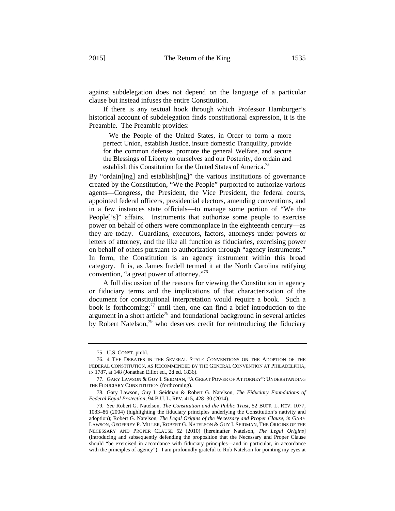If there is any textual hook through which Professor Hamburger's historical account of subdelegation finds constitutional expression, it is the Preamble. The Preamble provides:

 We the People of the United States, in Order to form a more perfect Union, establish Justice, insure domestic Tranquility, provide for the common defense, promote the general Welfare, and secure the Blessings of Liberty to ourselves and our Posterity, do ordain and establish this Constitution for the United States of America.<sup>75</sup>

By "ordain[ing] and establish[ing]" the various institutions of governance created by the Constitution, "We the People" purported to authorize various agents—Congress, the President, the Vice President, the federal courts, appointed federal officers, presidential electors, amending conventions, and in a few instances state officials—to manage some portion of "We the People['s]" affairs. Instruments that authorize some people to exercise power on behalf of others were commonplace in the eighteenth century—as they are today. Guardians, executors, factors, attorneys under powers or letters of attorney, and the like all function as fiduciaries, exercising power on behalf of others pursuant to authorization through "agency instruments." In form, the Constitution is an agency instrument within this broad category. It is, as James Iredell termed it at the North Carolina ratifying convention, "a great power of attorney."76

A full discussion of the reasons for viewing the Constitution in agency or fiduciary terms and the implications of that characterization of the document for constitutional interpretation would require a book. Such a book is forthcoming; $^{77}$  until then, one can find a brief introduction to the argument in a short article<sup>78</sup> and foundational background in several articles by Robert Natelson,<sup>79</sup> who deserves credit for reintroducing the fiduciary

<sup>75.</sup> U.S. CONST. pmbl.

<sup>76. 4</sup> THE DEBATES IN THE SEVERAL STATE CONVENTIONS ON THE ADOPTION OF THE FEDERAL CONSTITUTION, AS RECOMMENDED BY THE GENERAL CONVENTION AT PHILADELPHIA, IN 1787, at 148 (Jonathan Elliot ed., 2d ed. 1836).

<sup>77.</sup> GARY LAWSON & GUY I. SEIDMAN, "A GREAT POWER OF ATTORNEY": UNDERSTANDING THE FIDUCIARY CONSTITUTION (forthcoming).

<sup>78.</sup> Gary Lawson, Guy I. Seidman & Robert G. Natelson, *The Fiduciary Foundations of Federal Equal Protection*, 94 B.U. L. REV. 415, 428–30 (2014).

<sup>79.</sup> *See* Robert G. Natelson, *The Constitution and the Public Trust*, 52 BUFF. L. REV. 1077, 1083–86 (2004) (highlighting the fiduciary principles underlying the Constitution's nativity and adoption); Robert G. Natelson, *The Legal Origins of the Necessary and Proper Clause*, *in* GARY LAWSON, GEOFFREY P. MILLER, ROBERT G. NATELSON & GUY I. SEIDMAN, THE ORIGINS OF THE NECESSARY AND PROPER CLAUSE 52 (2010) [hereinafter Natelson, *The Legal Origins*] (introducing and subsequently defending the proposition that the Necessary and Proper Clause should "be exercised in accordance with fiduciary principles—and in particular, in accordance with the principles of agency"). I am profoundly grateful to Rob Natelson for pointing my eyes at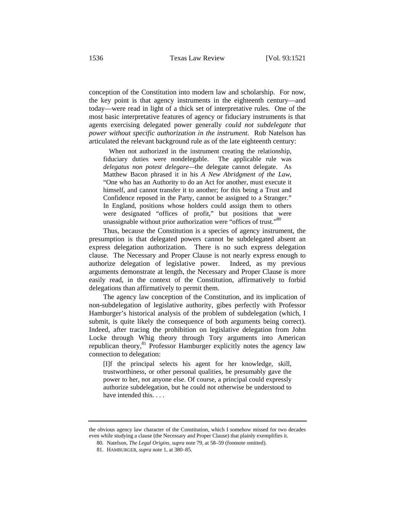conception of the Constitution into modern law and scholarship. For now, the key point is that agency instruments in the eighteenth century—and today—were read in light of a thick set of interpretative rules. One of the most basic interpretative features of agency or fiduciary instruments is that agents exercising delegated power generally *could not subdelegate that power without specific authorization in the instrument*. Rob Natelson has articulated the relevant background rule as of the late eighteenth century:

 When not authorized in the instrument creating the relationship, fiduciary duties were nondelegable. The applicable rule was *delegatus non potest delegare—*the delegate cannot delegate. As Matthew Bacon phrased it in his *A New Abridgment of the Law*, "One who has an Authority to do an Act for another, must execute it himself, and cannot transfer it to another; for this being a Trust and Confidence reposed in the Party, cannot be assigned to a Stranger." In England, positions whose holders could assign them to others were designated "offices of profit," but positions that were unassignable without prior authorization were "offices of trust."80

Thus, because the Constitution is a species of agency instrument, the presumption is that delegated powers cannot be subdelegated absent an express delegation authorization. There is no such express delegation clause. The Necessary and Proper Clause is not nearly express enough to authorize delegation of legislative power. Indeed, as my previous arguments demonstrate at length, the Necessary and Proper Clause is more easily read, in the context of the Constitution, affirmatively to forbid delegations than affirmatively to permit them.

The agency law conception of the Constitution, and its implication of non-subdelegation of legislative authority, gibes perfectly with Professor Hamburger's historical analysis of the problem of subdelegation (which, I submit, is quite likely the consequence of both arguments being correct). Indeed, after tracing the prohibition on legislative delegation from John Locke through Whig theory through Tory arguments into American republican theory,<sup>81</sup> Professor Hamburger explicitly notes the agency law connection to delegation:

[I]f the principal selects his agent for her knowledge, skill, trustworthiness, or other personal qualities, he presumably gave the power to her, not anyone else. Of course, a principal could expressly authorize subdelegation, but he could not otherwise be understood to have intended this. . . .

the obvious agency law character of the Constitution, which I somehow missed for two decades even while studying a clause (the Necessary and Proper Clause) that plainly exemplifies it.

<sup>80.</sup> Natelson, *The Legal Origins*, *supra* note 79, at 58–59 (footnote omitted).

<sup>81.</sup> HAMBURGER, *supra* note 1, at 380–85.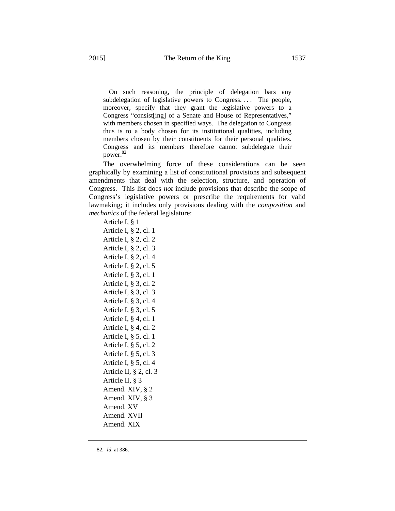On such reasoning, the principle of delegation bars any subdelegation of legislative powers to Congress. . . . The people, moreover, specify that they grant the legislative powers to a Congress "consist[ing] of a Senate and House of Representatives," with members chosen in specified ways. The delegation to Congress thus is to a body chosen for its institutional qualities, including members chosen by their constituents for their personal qualities. Congress and its members therefore cannot subdelegate their power. 82

The overwhelming force of these considerations can be seen graphically by examining a list of constitutional provisions and subsequent amendments that deal with the selection, structure, and operation of Congress. This list does *not* include provisions that describe the scope of Congress's legislative powers or prescribe the requirements for valid lawmaking; it includes only provisions dealing with the *composition* and *mechanics* of the federal legislature:

Article I, § 1 Article I, § 2, cl. 1 Article I, § 2, cl. 2 Article I, § 2, cl. 3 Article I, § 2, cl. 4 Article I, § 2, cl. 5 Article I, § 3, cl. 1 Article I, § 3, cl. 2 Article I, § 3, cl. 3 Article I, § 3, cl. 4 Article I, § 3, cl. 5 Article I, § 4, cl. 1 Article I, § 4, cl. 2 Article I, § 5, cl. 1 Article I, § 5, cl. 2 Article I, § 5, cl. 3 Article I, § 5, cl. 4 Article II, § 2, cl. 3 Article II, § 3 Amend. XIV, § 2 Amend. XIV, § 3 Amend. XV Amend. XVII Amend. XIX

<sup>82.</sup> *Id.* at 386.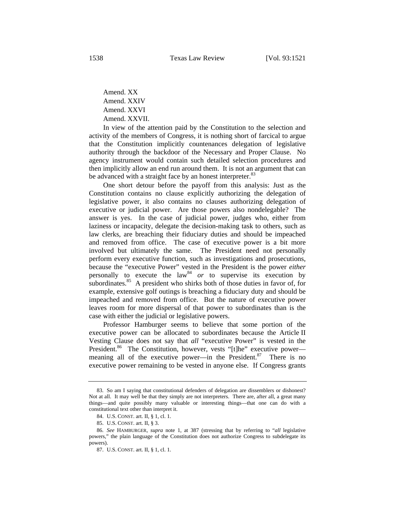Amend. XX Amend. XXIV Amend. XXVI Amend. XXVII.

In view of the attention paid by the Constitution to the selection and activity of the members of Congress, it is nothing short of farcical to argue that the Constitution implicitly countenances delegation of legislative authority through the backdoor of the Necessary and Proper Clause. No agency instrument would contain such detailed selection procedures and then implicitly allow an end run around them. It is not an argument that can be advanced with a straight face by an honest interpreter.<sup>83</sup>

One short detour before the payoff from this analysis: Just as the Constitution contains no clause explicitly authorizing the delegation of legislative power, it also contains no clauses authorizing delegation of executive or judicial power. Are those powers also nondelegable? The answer is yes. In the case of judicial power, judges who, either from laziness or incapacity, delegate the decision-making task to others, such as law clerks, are breaching their fiduciary duties and should be impeached and removed from office. The case of executive power is a bit more involved but ultimately the same. The President need not personally perform every executive function, such as investigations and prosecutions, because the "executive Power" vested in the President is the power *either* personally to execute the  $law<sup>84</sup>$  *or* to supervise its execution by subordinates.<sup>85</sup> A president who shirks both of those duties in favor of, for example, extensive golf outings is breaching a fiduciary duty and should be impeached and removed from office. But the nature of executive power leaves room for more dispersal of that power to subordinates than is the case with either the judicial or legislative powers.

Professor Hamburger seems to believe that some portion of the executive power can be allocated to subordinates because the Article II Vesting Clause does not say that *all* "executive Power" is vested in the President.<sup>86</sup> The Constitution, however, vests "[t]he" executive power meaning all of the executive power—in the President. $87$  There is no executive power remaining to be vested in anyone else. If Congress grants

<sup>83.</sup> So am I saying that constitutional defenders of delegation are dissemblers or dishonest? Not at all. It may well be that they simply are not interpreters. There are, after all, a great many things—and quite possibly many valuable or interesting things—that one can do with a constitutional text other than interpret it.

<sup>84.</sup> U.S. CONST. art. II, § 1, cl. 1.

<sup>85.</sup> U.S. CONST. art. II, § 3.

<sup>86.</sup> *See* HAMBURGER, *supra* note 1, at 387 (stressing that by referring to "*all* legislative powers," the plain language of the Constitution does not authorize Congress to subdelegate its powers).

<sup>87.</sup> U.S. CONST. art. II, § 1, cl. 1.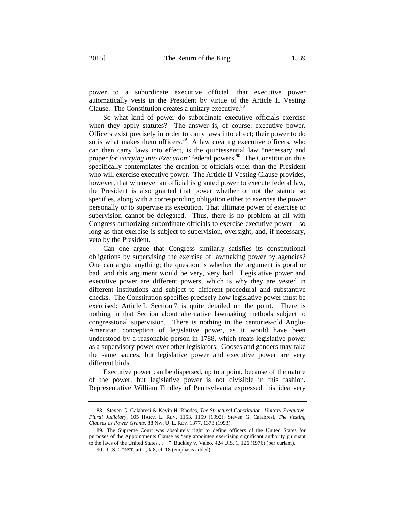power to a subordinate executive official, that executive power automatically vests in the President by virtue of the Article II Vesting Clause. The Constitution creates a unitary executive.<sup>88</sup>

So what kind of power do subordinate executive officials exercise when they apply statutes? The answer is, of course: executive power. Officers exist precisely in order to carry laws into effect; their power to do so is what makes them officers. $89$  A law creating executive officers, who can then carry laws into effect, is the quintessential law "necessary and proper *for carrying into Execution*" federal powers.<sup>90</sup> The Constitution thus specifically contemplates the creation of officials other than the President who will exercise executive power. The Article II Vesting Clause provides, however, that whenever an official is granted power to execute federal law, the President is also granted that power whether or not the statute so specifies, along with a corresponding obligation either to exercise the power personally or to supervise its execution. That ultimate power of exercise or supervision cannot be delegated. Thus, there is no problem at all with Congress authorizing subordinate officials to exercise executive power—so long as that exercise is subject to supervision, oversight, and, if necessary, veto by the President.

Can one argue that Congress similarly satisfies its constitutional obligations by supervising the exercise of lawmaking power by agencies? One can argue anything; the question is whether the argument is good or bad, and this argument would be very, very bad. Legislative power and executive power are different powers, which is why they are vested in different institutions and subject to different procedural and substantive checks. The Constitution specifies precisely how legislative power must be exercised: Article I, Section 7 is quite detailed on the point. There is nothing in that Section about alternative lawmaking methods subject to congressional supervision. There is nothing in the centuries-old Anglo-American conception of legislative power, as it would have been understood by a reasonable person in 1788, which treats legislative power as a supervisory power over other legislators. Gooses and ganders may take the same sauces, but legislative power and executive power are very different birds.

Executive power can be dispersed, up to a point, because of the nature of the power, but legislative power is not divisible in this fashion. Representative William Findley of Pennsylvania expressed this idea very

<sup>88.</sup> Steven G. Calabresi & Kevin H. Rhodes, *The Structural Constitution: Unitary Executive, Plural Judiciary*, 105 HARV. L. REV. 1153, 1159 (1992); Steven G. Calabresi, *The Vesting Clauses as Power Grants*, 88 NW. U. L. REV. 1377, 1378 (1993).

<sup>89.</sup> The Supreme Court was absolutely right to define officers of the United States for purposes of the Appointments Clause as "any appointee exercising significant authority pursuant to the laws of the United States . . . ." Buckley v. Valeo, 424 U.S. 1, 126 (1976) (per curiam).

<sup>90.</sup> U.S. CONST. art. I, § 8, cl. 18 (emphasis added).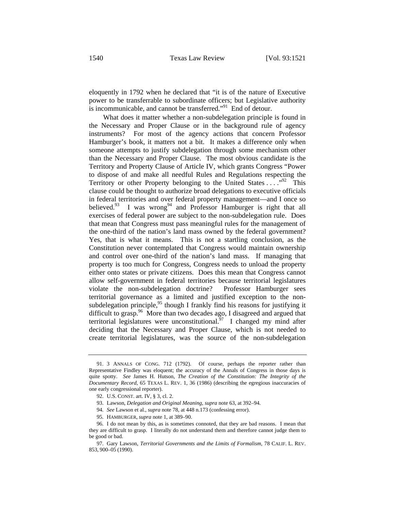eloquently in 1792 when he declared that "it is of the nature of Executive power to be transferrable to subordinate officers; but Legislative authority is incommunicable, and cannot be transferred."<sup>91</sup> End of detour.

What does it matter whether a non-subdelegation principle is found in the Necessary and Proper Clause or in the background rule of agency instruments? For most of the agency actions that concern Professor Hamburger's book, it matters not a bit. It makes a difference only when someone attempts to justify subdelegation through some mechanism other than the Necessary and Proper Clause. The most obvious candidate is the Territory and Property Clause of Article IV, which grants Congress "Power to dispose of and make all needful Rules and Regulations respecting the Territory or other Property belonging to the United States . . . . "<sup>92</sup> This clause could be thought to authorize broad delegations to executive officials in federal territories and over federal property management—and I once so believed.<sup>93</sup> I was wrong<sup>94</sup> and Professor Hamburger is right that all exercises of federal power are subject to the non-subdelegation rule. Does that mean that Congress must pass meaningful rules for the management of the one-third of the nation's land mass owned by the federal government? Yes, that is what it means. This is not a startling conclusion, as the Constitution never contemplated that Congress would maintain ownership and control over one-third of the nation's land mass. If managing that property is too much for Congress, Congress needs to unload the property either onto states or private citizens. Does this mean that Congress cannot allow self-government in federal territories because territorial legislatures violate the non-subdelegation doctrine? Professor Hamburger sees territorial governance as a limited and justified exception to the nonsubdelegation principle,  $95$  though I frankly find his reasons for justifying it difficult to grasp.<sup>96</sup> More than two decades ago, I disagreed and argued that territorial legislatures were unconstitutional.<sup>97</sup> I changed my mind after deciding that the Necessary and Proper Clause, which is not needed to create territorial legislatures, was the source of the non-subdelegation

<sup>91. 3</sup> ANNALS OF CONG. 712 (1792). Of course, perhaps the reporter rather than Representative Findley was eloquent; the accuracy of the Annals of Congress in those days is quite spotty. *See* James H. Hutson, *The Creation of the Constitution: The Integrity of the Documentary Record*, 65 TEXAS L. REV. 1, 36 (1986) (describing the egregious inaccuracies of one early congressional reporter).

<sup>92.</sup> U.S. CONST. art. IV, § 3, cl. 2.

<sup>93.</sup> Lawson, *Delegation and Original Meaning*, *supra* note 63, at 392–94.

<sup>94.</sup> *See* Lawson et al., *supra* note 78, at 448 n.173 (confessing error).

<sup>95.</sup> HAMBURGER, *supra* note 1, at 389–90.

<sup>96.</sup> I do not mean by this, as is sometimes connoted, that they are bad reasons. I mean that they are difficult to grasp. I literally do not understand them and therefore cannot judge them to be good or bad.

<sup>97.</sup> Gary Lawson, *Territorial Governments and the Limits of Formalism*, 78 CALIF. L. REV. 853, 900–05 (1990).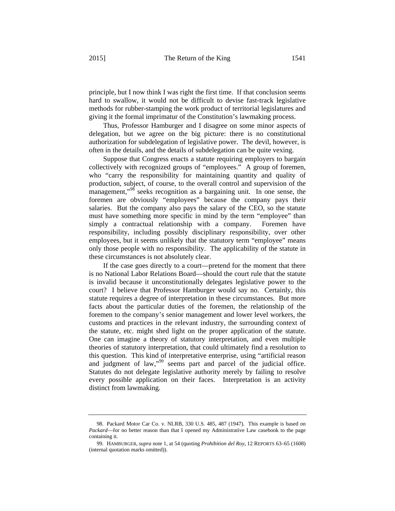principle, but I now think I was right the first time. If that conclusion seems hard to swallow, it would not be difficult to devise fast-track legislative methods for rubber-stamping the work product of territorial legislatures and giving it the formal imprimatur of the Constitution's lawmaking process.

Thus, Professor Hamburger and I disagree on some minor aspects of delegation, but we agree on the big picture: there is no constitutional authorization for subdelegation of legislative power. The devil, however, is often in the details, and the details of subdelegation can be quite vexing.

Suppose that Congress enacts a statute requiring employers to bargain collectively with recognized groups of "employees." A group of foremen, who "carry the responsibility for maintaining quantity and quality of production, subject, of course, to the overall control and supervision of the management," $8\$ <sup>8</sup> seeks recognition as a bargaining unit. In one sense, the foremen are obviously "employees" because the company pays their salaries. But the company also pays the salary of the CEO, so the statute must have something more specific in mind by the term "employee" than simply a contractual relationship with a company. Foremen have responsibility, including possibly disciplinary responsibility, over other employees, but it seems unlikely that the statutory term "employee" means only those people with no responsibility. The applicability of the statute in these circumstances is not absolutely clear.

If the case goes directly to a court—pretend for the moment that there is no National Labor Relations Board—should the court rule that the statute is invalid because it unconstitutionally delegates legislative power to the court? I believe that Professor Hamburger would say no. Certainly, this statute requires a degree of interpretation in these circumstances. But more facts about the particular duties of the foremen, the relationship of the foremen to the company's senior management and lower level workers, the customs and practices in the relevant industry, the surrounding context of the statute, etc. might shed light on the proper application of the statute. One can imagine a theory of statutory interpretation, and even multiple theories of statutory interpretation, that could ultimately find a resolution to this question. This kind of interpretative enterprise, using "artificial reason and judgment of law,"<sup>99</sup> seems part and parcel of the judicial office. Statutes do not delegate legislative authority merely by failing to resolve every possible application on their faces. Interpretation is an activity distinct from lawmaking.

<sup>98.</sup> Packard Motor Car Co. v. NLRB, 330 U.S. 485, 487 (1947). This example is based on *Packard*—for no better reason than that I opened my Administrative Law casebook to the page containing it.

<sup>99.</sup> HAMBURGER, *supra* note 1, at 54 (quoting *Prohibition del Roy*, 12 REPORTS 63–65 (1608) (internal quotation marks omitted)).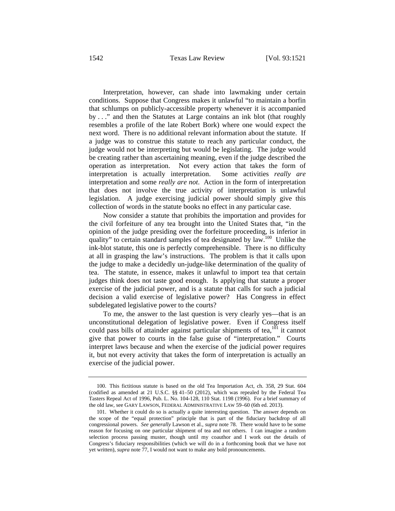Interpretation, however, can shade into lawmaking under certain conditions. Suppose that Congress makes it unlawful "to maintain a borfin that schlumps on publicly-accessible property whenever it is accompanied by . . ." and then the Statutes at Large contains an ink blot (that roughly resembles a profile of the late Robert Bork) where one would expect the next word. There is no additional relevant information about the statute. If a judge was to construe this statute to reach any particular conduct, the judge would not be interpreting but would be legislating. The judge would be creating rather than ascertaining meaning, even if the judge described the operation as interpretation. Not every action that takes the form of interpretation is actually interpretation. Some activities *really are* interpretation and some *really are not*. Action in the form of interpretation that does not involve the true activity of interpretation is unlawful legislation. A judge exercising judicial power should simply give this collection of words in the statute books no effect in any particular case.

Now consider a statute that prohibits the importation and provides for the civil forfeiture of any tea brought into the United States that, "in the opinion of the judge presiding over the forfeiture proceeding, is inferior in quality" to certain standard samples of tea designated by law.<sup>100</sup> Unlike the ink-blot statute, this one is perfectly comprehensible. There is no difficulty at all in grasping the law's instructions. The problem is that it calls upon the judge to make a decidedly un-judge-like determination of the quality of tea. The statute, in essence, makes it unlawful to import tea that certain judges think does not taste good enough. Is applying that statute a proper exercise of the judicial power, and is a statute that calls for such a judicial decision a valid exercise of legislative power? Has Congress in effect subdelegated legislative power to the courts?

To me, the answer to the last question is very clearly yes—that is an unconstitutional delegation of legislative power. Even if Congress itself could pass bills of attainder against particular shipments of tea, $^{101}$  it cannot give that power to courts in the false guise of "interpretation." Courts interpret laws because and when the exercise of the judicial power requires it, but not every activity that takes the form of interpretation is actually an exercise of the judicial power.

<sup>100.</sup> This fictitious statute is based on the old Tea Importation Act, ch. 358, 29 Stat. 604 (codified as amended at 21 U.S.C. §§ 41–50 (2012), which was repealed by the Federal Tea Tasters Repeal Act of 1996, Pub. L. No. 104-128, 110 Stat. 1198 (1996). For a brief summary of the old law, see GARY LAWSON, FEDERAL ADMINISTRATIVE LAW 59–60 (6th ed. 2013).

<sup>101.</sup> Whether it could do so is actually a quite interesting question. The answer depends on the scope of the "equal protection" principle that is part of the fiduciary backdrop of all congressional powers. *See generally* Lawson et al., *supra* note 78. There would have to be some reason for focusing on one particular shipment of tea and not others. I can imagine a random selection process passing muster, though until my coauthor and I work out the details of Congress's fiduciary responsibilities (which we will do in a forthcoming book that we have not yet written), *supra* note 77, I would not want to make any bold pronouncements.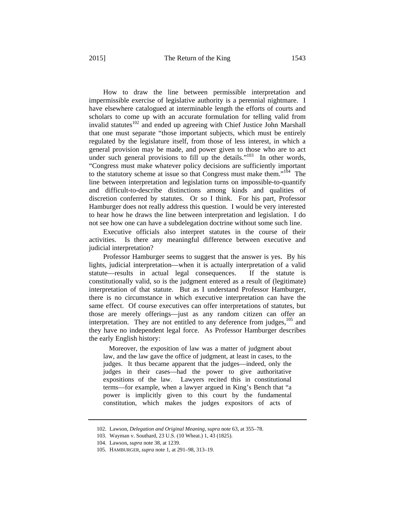How to draw the line between permissible interpretation and impermissible exercise of legislative authority is a perennial nightmare. I have elsewhere catalogued at interminable length the efforts of courts and scholars to come up with an accurate formulation for telling valid from invalid statutes $102$  and ended up agreeing with Chief Justice John Marshall that one must separate "those important subjects, which must be entirely regulated by the legislature itself, from those of less interest, in which a general provision may be made, and power given to those who are to act under such general provisions to fill up the details."<sup>103</sup> In other words, "Congress must make whatever policy decisions are sufficiently important to the statutory scheme at issue so that Congress must make them."<sup>104</sup> The line between interpretation and legislation turns on impossible-to-quantify and difficult-to-describe distinctions among kinds and qualities of discretion conferred by statutes. Or so I think. For his part, Professor Hamburger does not really address this question. I would be very interested to hear how he draws the line between interpretation and legislation. I do not see how one can have a subdelegation doctrine without some such line.

Executive officials also interpret statutes in the course of their activities. Is there any meaningful difference between executive and judicial interpretation?

Professor Hamburger seems to suggest that the answer is yes. By his lights, judicial interpretation—when it is actually interpretation of a valid statute—results in actual legal consequences. If the statute is constitutionally valid, so is the judgment entered as a result of (legitimate) interpretation of that statute. But as I understand Professor Hamburger, there is no circumstance in which executive interpretation can have the same effect. Of course executives can offer interpretations of statutes, but those are merely offerings—just as any random citizen can offer an interpretation. They are not entitled to any deference from judges,<sup>105</sup> and they have no independent legal force. As Professor Hamburger describes the early English history:

 Moreover, the exposition of law was a matter of judgment about law, and the law gave the office of judgment, at least in cases, to the judges. It thus became apparent that the judges—indeed, only the judges in their cases—had the power to give authoritative expositions of the law. Lawyers recited this in constitutional terms—for example, when a lawyer argued in King's Bench that "a power is implicitly given to this court by the fundamental constitution, which makes the judges expositors of acts of

<sup>102.</sup> Lawson, *Delegation and Original Meaning*, *supra* note 63, at 355–78.

<sup>103.</sup> Wayman v. Southard, 23 U.S. (10 Wheat.) 1, 43 (1825).

<sup>104.</sup> Lawson, *supra* note 38, at 1239.

<sup>105.</sup> HAMBURGER, *supra* note 1, at 291–98, 313–19.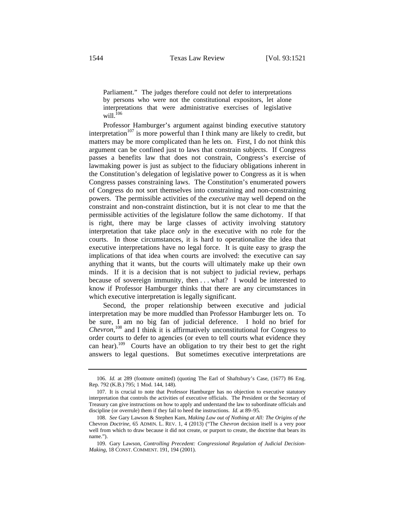Parliament." The judges therefore could not defer to interpretations by persons who were not the constitutional expositors, let alone interpretations that were administrative exercises of legislative will. $^{106}$ 

Professor Hamburger's argument against binding executive statutory interpretation<sup>107</sup> is more powerful than I think many are likely to credit, but matters may be more complicated than he lets on. First, I do not think this argument can be confined just to laws that constrain subjects. If Congress passes a benefits law that does not constrain, Congress's exercise of lawmaking power is just as subject to the fiduciary obligations inherent in the Constitution's delegation of legislative power to Congress as it is when Congress passes constraining laws. The Constitution's enumerated powers of Congress do not sort themselves into constraining and non-constraining powers. The permissible activities of the *executive* may well depend on the constraint and non-constraint distinction, but it is not clear to me that the permissible activities of the legislature follow the same dichotomy. If that is right, there may be large classes of activity involving statutory interpretation that take place *only* in the executive with no role for the courts. In those circumstances, it is hard to operationalize the idea that executive interpretations have no legal force. It is quite easy to grasp the implications of that idea when courts are involved: the executive can say anything that it wants, but the courts will ultimately make up their own minds. If it is a decision that is not subject to judicial review, perhaps because of sovereign immunity, then . . . what? I would be interested to know if Professor Hamburger thinks that there are any circumstances in which executive interpretation is legally significant.

Second, the proper relationship between executive and judicial interpretation may be more muddled than Professor Hamburger lets on. To be sure, I am no big fan of judicial deference. I hold no brief for *Chevron*, 108 and I think it is affirmatively unconstitutional for Congress to order courts to defer to agencies (or even to tell courts what evidence they can hear).<sup>109</sup> Courts have an obligation to try their best to get the right answers to legal questions. But sometimes executive interpretations are

<sup>106.</sup> *Id.* at 289 (footnote omitted) (quoting The Earl of Shaftsbury's Case, (1677) 86 Eng. Rep. 792 (K.B.) 795; 1 Mod. 144, 148).

<sup>107.</sup> It is crucial to note that Professor Hamburger has no objection to executive statutory interpretation that controls the activities of executive officials. The President or the Secretary of Treasury can give instructions on how to apply and understand the law to subordinate officials and discipline (or overrule) them if they fail to heed the instructions. *Id.* at 89–95.

<sup>108.</sup> *See* Gary Lawson & Stephen Kam, *Making Law out of Nothing at All: The Origins of the*  Chevron *Doctrine*, 65 ADMIN. L. REV. 1, 4 (2013) ("The *Chevron* decision itself is a very poor well from which to draw because it did not create, or purport to create, the doctrine that bears its name.").

<sup>109.</sup> Gary Lawson, *Controlling Precedent: Congressional Regulation of Judicial Decision-Making*, 18 CONST. COMMENT. 191, 194 (2001).